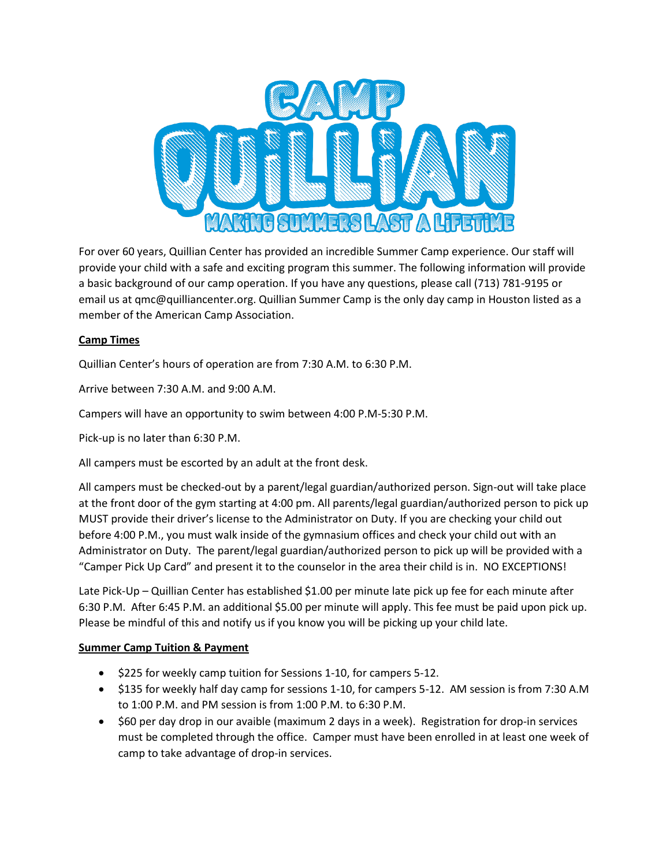

For over 60 years, Quillian Center has provided an incredible Summer Camp experience. Our staff will provide your child with a safe and exciting program this summer. The following information will provide a basic background of our camp operation. If you have any questions, please call (713) 781-9195 or email us at qmc@quilliancenter.org. Quillian Summer Camp is the only day camp in Houston listed as a member of the American Camp Association.

## **Camp Times**

Quillian Center's hours of operation are from 7:30 A.M. to 6:30 P.M.

Arrive between 7:30 A.M. and 9:00 A.M.

Campers will have an opportunity to swim between 4:00 P.M-5:30 P.M.

Pick-up is no later than 6:30 P.M.

All campers must be escorted by an adult at the front desk.

All campers must be checked-out by a parent/legal guardian/authorized person. Sign-out will take place at the front door of the gym starting at 4:00 pm. All parents/legal guardian/authorized person to pick up MUST provide their driver's license to the Administrator on Duty. If you are checking your child out before 4:00 P.M., you must walk inside of the gymnasium offices and check your child out with an Administrator on Duty. The parent/legal guardian/authorized person to pick up will be provided with a "Camper Pick Up Card" and present it to the counselor in the area their child is in. NO EXCEPTIONS!

Late Pick-Up – Quillian Center has established \$1.00 per minute late pick up fee for each minute after 6:30 P.M. After 6:45 P.M. an additional \$5.00 per minute will apply. This fee must be paid upon pick up. Please be mindful of this and notify us if you know you will be picking up your child late.

### **Summer Camp Tuition & Payment**

- \$225 for weekly camp tuition for Sessions 1-10, for campers 5-12.
- \$135 for weekly half day camp for sessions 1-10, for campers 5-12. AM session is from 7:30 A.M to 1:00 P.M. and PM session is from 1:00 P.M. to 6:30 P.M.
- \$60 per day drop in our avaible (maximum 2 days in a week). Registration for drop-in services must be completed through the office. Camper must have been enrolled in at least one week of camp to take advantage of drop-in services.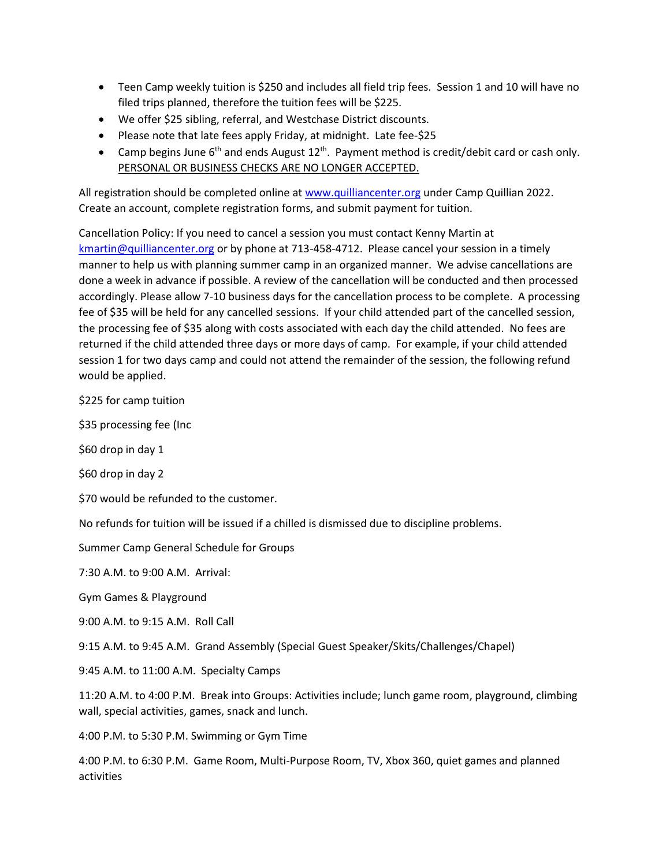- Teen Camp weekly tuition is \$250 and includes all field trip fees. Session 1 and 10 will have no filed trips planned, therefore the tuition fees will be \$225.
- We offer \$25 sibling, referral, and Westchase District discounts.
- Please note that late fees apply Friday, at midnight. Late fee-\$25
- Camp begins June 6<sup>th</sup> and ends August  $12^{th}$ . Payment method is credit/debit card or cash only. PERSONAL OR BUSINESS CHECKS ARE NO LONGER ACCEPTED.

All registration should be completed online a[t www.quilliancenter.org](http://www.quilliancenter.org/) under Camp Quillian 2022. Create an account, complete registration forms, and submit payment for tuition.

Cancellation Policy: If you need to cancel a session you must contact Kenny Martin at [kmartin@quilliancenter.org](mailto:kmartin@quilliancenter.org) or by phone at 713-458-4712. Please cancel your session in a timely manner to help us with planning summer camp in an organized manner. We advise cancellations are done a week in advance if possible. A review of the cancellation will be conducted and then processed accordingly. Please allow 7-10 business days for the cancellation process to be complete. A processing fee of \$35 will be held for any cancelled sessions. If your child attended part of the cancelled session, the processing fee of \$35 along with costs associated with each day the child attended. No fees are returned if the child attended three days or more days of camp. For example, if your child attended session 1 for two days camp and could not attend the remainder of the session, the following refund would be applied.

\$225 for camp tuition

\$35 processing fee (Inc

\$60 drop in day 1

\$60 drop in day 2

\$70 would be refunded to the customer.

No refunds for tuition will be issued if a chilled is dismissed due to discipline problems.

Summer Camp General Schedule for Groups

7:30 A.M. to 9:00 A.M. Arrival:

Gym Games & Playground

9:00 A.M. to 9:15 A.M. Roll Call

9:15 A.M. to 9:45 A.M. Grand Assembly (Special Guest Speaker/Skits/Challenges/Chapel)

9:45 A.M. to 11:00 A.M. Specialty Camps

11:20 A.M. to 4:00 P.M. Break into Groups: Activities include; lunch game room, playground, climbing wall, special activities, games, snack and lunch.

4:00 P.M. to 5:30 P.M. Swimming or Gym Time

4:00 P.M. to 6:30 P.M. Game Room, Multi-Purpose Room, TV, Xbox 360, quiet games and planned activities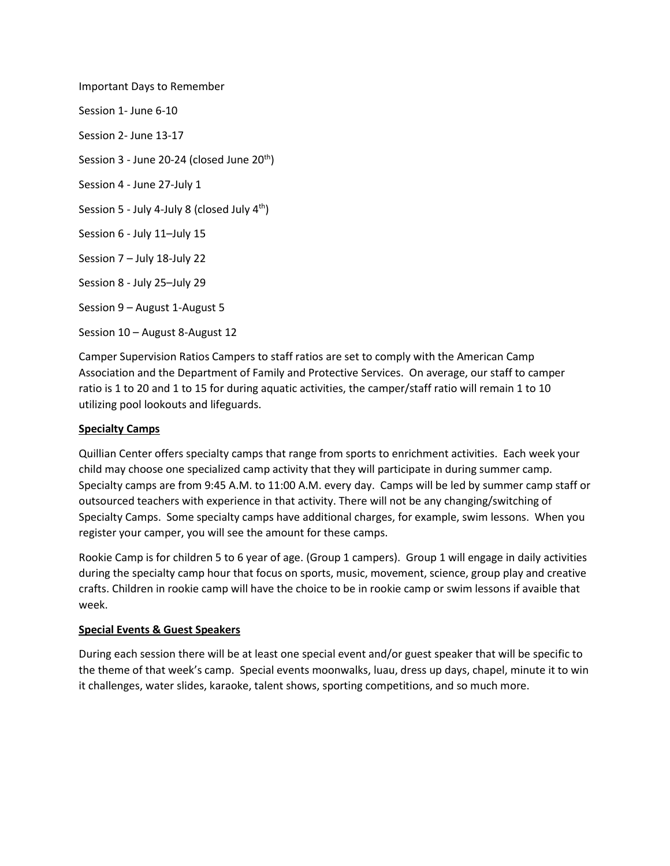Important Days to Remember Session 1- June 6-10 Session 2- June 13-17 Session 3 - June 20-24 (closed June  $20<sup>th</sup>$ ) Session 4 - June 27-July 1 Session 5 - July 4-July 8 (closed July 4<sup>th</sup>) Session 6 - July 11–July 15 Session 7 – July 18-July 22 Session 8 - July 25–July 29 Session 9 – August 1-August 5 Session 10 – August 8-August 12

Camper Supervision Ratios Campers to staff ratios are set to comply with the American Camp Association and the Department of Family and Protective Services. On average, our staff to camper ratio is 1 to 20 and 1 to 15 for during aquatic activities, the camper/staff ratio will remain 1 to 10 utilizing pool lookouts and lifeguards.

## **Specialty Camps**

Quillian Center offers specialty camps that range from sports to enrichment activities. Each week your child may choose one specialized camp activity that they will participate in during summer camp. Specialty camps are from 9:45 A.M. to 11:00 A.M. every day. Camps will be led by summer camp staff or outsourced teachers with experience in that activity. There will not be any changing/switching of Specialty Camps. Some specialty camps have additional charges, for example, swim lessons. When you register your camper, you will see the amount for these camps.

Rookie Camp is for children 5 to 6 year of age. (Group 1 campers). Group 1 will engage in daily activities during the specialty camp hour that focus on sports, music, movement, science, group play and creative crafts. Children in rookie camp will have the choice to be in rookie camp or swim lessons if avaible that week.

### **Special Events & Guest Speakers**

During each session there will be at least one special event and/or guest speaker that will be specific to the theme of that week's camp. Special events moonwalks, luau, dress up days, chapel, minute it to win it challenges, water slides, karaoke, talent shows, sporting competitions, and so much more.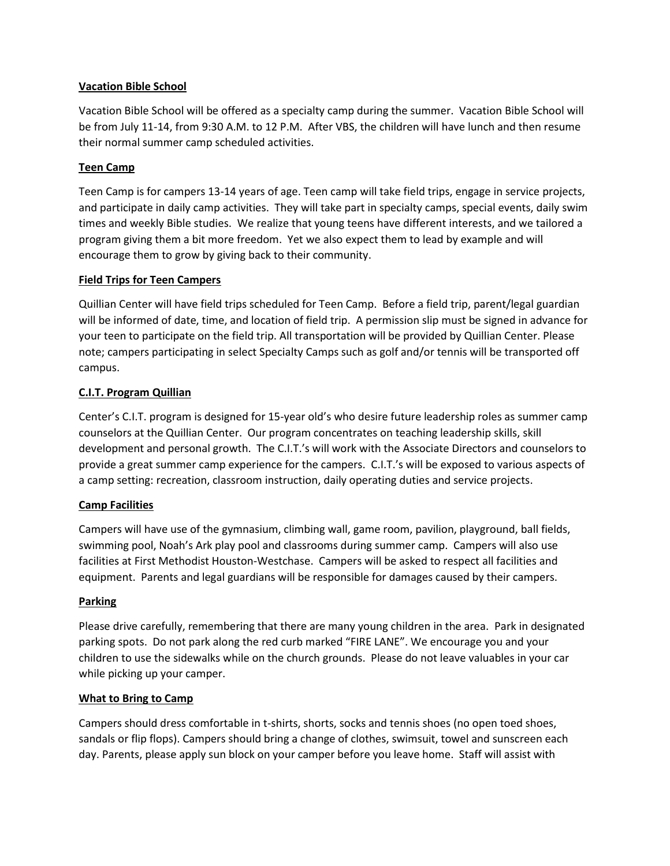### **Vacation Bible School**

Vacation Bible School will be offered as a specialty camp during the summer. Vacation Bible School will be from July 11-14, from 9:30 A.M. to 12 P.M. After VBS, the children will have lunch and then resume their normal summer camp scheduled activities.

## **Teen Camp**

Teen Camp is for campers 13-14 years of age. Teen camp will take field trips, engage in service projects, and participate in daily camp activities. They will take part in specialty camps, special events, daily swim times and weekly Bible studies. We realize that young teens have different interests, and we tailored a program giving them a bit more freedom. Yet we also expect them to lead by example and will encourage them to grow by giving back to their community.

## **Field Trips for Teen Campers**

Quillian Center will have field trips scheduled for Teen Camp. Before a field trip, parent/legal guardian will be informed of date, time, and location of field trip. A permission slip must be signed in advance for your teen to participate on the field trip. All transportation will be provided by Quillian Center. Please note; campers participating in select Specialty Camps such as golf and/or tennis will be transported off campus.

## **C.I.T. Program Quillian**

Center's C.I.T. program is designed for 15-year old's who desire future leadership roles as summer camp counselors at the Quillian Center. Our program concentrates on teaching leadership skills, skill development and personal growth. The C.I.T.'s will work with the Associate Directors and counselors to provide a great summer camp experience for the campers. C.I.T.'s will be exposed to various aspects of a camp setting: recreation, classroom instruction, daily operating duties and service projects.

### **Camp Facilities**

Campers will have use of the gymnasium, climbing wall, game room, pavilion, playground, ball fields, swimming pool, Noah's Ark play pool and classrooms during summer camp. Campers will also use facilities at First Methodist Houston-Westchase. Campers will be asked to respect all facilities and equipment. Parents and legal guardians will be responsible for damages caused by their campers.

### **Parking**

Please drive carefully, remembering that there are many young children in the area. Park in designated parking spots. Do not park along the red curb marked "FIRE LANE". We encourage you and your children to use the sidewalks while on the church grounds. Please do not leave valuables in your car while picking up your camper.

### **What to Bring to Camp**

Campers should dress comfortable in t-shirts, shorts, socks and tennis shoes (no open toed shoes, sandals or flip flops). Campers should bring a change of clothes, swimsuit, towel and sunscreen each day. Parents, please apply sun block on your camper before you leave home. Staff will assist with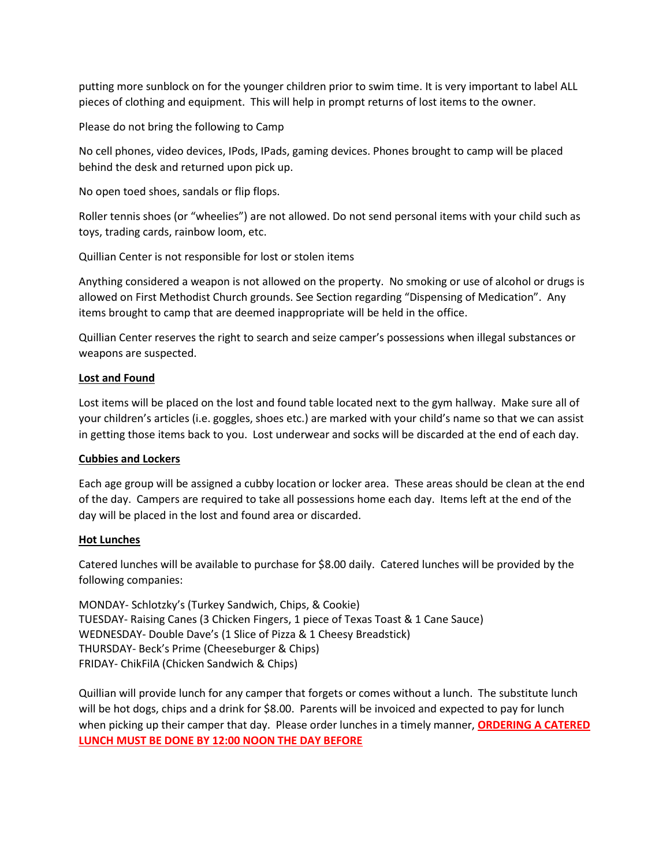putting more sunblock on for the younger children prior to swim time. It is very important to label ALL pieces of clothing and equipment. This will help in prompt returns of lost items to the owner.

Please do not bring the following to Camp

No cell phones, video devices, IPods, IPads, gaming devices. Phones brought to camp will be placed behind the desk and returned upon pick up.

No open toed shoes, sandals or flip flops.

Roller tennis shoes (or "wheelies") are not allowed. Do not send personal items with your child such as toys, trading cards, rainbow loom, etc.

Quillian Center is not responsible for lost or stolen items

Anything considered a weapon is not allowed on the property. No smoking or use of alcohol or drugs is allowed on First Methodist Church grounds. See Section regarding "Dispensing of Medication". Any items brought to camp that are deemed inappropriate will be held in the office.

Quillian Center reserves the right to search and seize camper's possessions when illegal substances or weapons are suspected.

### **Lost and Found**

Lost items will be placed on the lost and found table located next to the gym hallway. Make sure all of your children's articles (i.e. goggles, shoes etc.) are marked with your child's name so that we can assist in getting those items back to you. Lost underwear and socks will be discarded at the end of each day.

### **Cubbies and Lockers**

Each age group will be assigned a cubby location or locker area. These areas should be clean at the end of the day. Campers are required to take all possessions home each day. Items left at the end of the day will be placed in the lost and found area or discarded.

### **Hot Lunches**

Catered lunches will be available to purchase for \$8.00 daily. Catered lunches will be provided by the following companies:

MONDAY- Schlotzky's (Turkey Sandwich, Chips, & Cookie) TUESDAY- Raising Canes (3 Chicken Fingers, 1 piece of Texas Toast & 1 Cane Sauce) WEDNESDAY- Double Dave's (1 Slice of Pizza & 1 Cheesy Breadstick) THURSDAY- Beck's Prime (Cheeseburger & Chips) FRIDAY- ChikFilA (Chicken Sandwich & Chips)

Quillian will provide lunch for any camper that forgets or comes without a lunch. The substitute lunch will be hot dogs, chips and a drink for \$8.00. Parents will be invoiced and expected to pay for lunch when picking up their camper that day. Please order lunches in a timely manner, **ORDERING A CATERED LUNCH MUST BE DONE BY 12:00 NOON THE DAY BEFORE**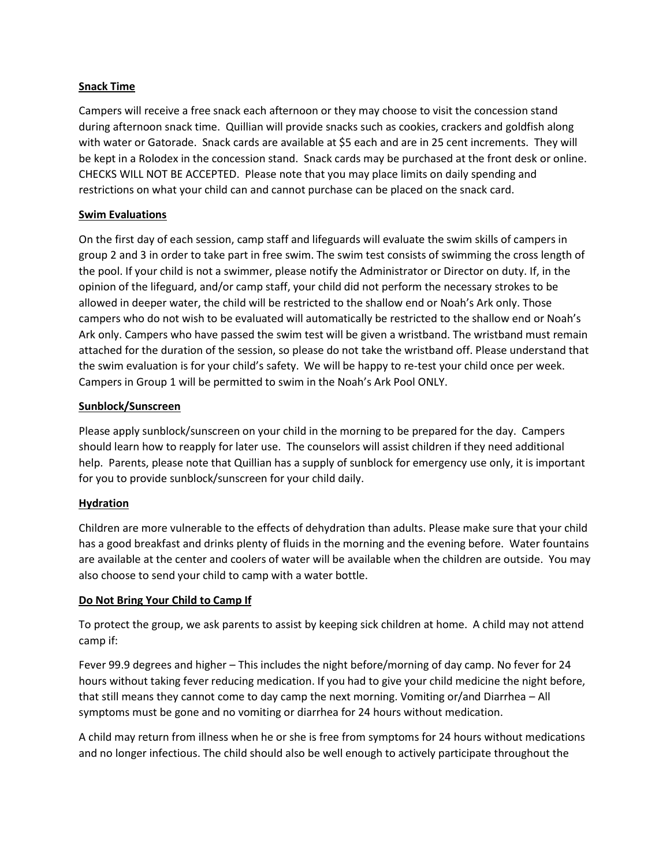### **Snack Time**

Campers will receive a free snack each afternoon or they may choose to visit the concession stand during afternoon snack time. Quillian will provide snacks such as cookies, crackers and goldfish along with water or Gatorade. Snack cards are available at \$5 each and are in 25 cent increments. They will be kept in a Rolodex in the concession stand. Snack cards may be purchased at the front desk or online. CHECKS WILL NOT BE ACCEPTED. Please note that you may place limits on daily spending and restrictions on what your child can and cannot purchase can be placed on the snack card.

#### **Swim Evaluations**

On the first day of each session, camp staff and lifeguards will evaluate the swim skills of campers in group 2 and 3 in order to take part in free swim. The swim test consists of swimming the cross length of the pool. If your child is not a swimmer, please notify the Administrator or Director on duty. If, in the opinion of the lifeguard, and/or camp staff, your child did not perform the necessary strokes to be allowed in deeper water, the child will be restricted to the shallow end or Noah's Ark only. Those campers who do not wish to be evaluated will automatically be restricted to the shallow end or Noah's Ark only. Campers who have passed the swim test will be given a wristband. The wristband must remain attached for the duration of the session, so please do not take the wristband off. Please understand that the swim evaluation is for your child's safety.  We will be happy to re-test your child once per week.   Campers in Group 1 will be permitted to swim in the Noah's Ark Pool ONLY.  

### **Sunblock/Sunscreen**

Please apply sunblock/sunscreen on your child in the morning to be prepared for the day. Campers should learn how to reapply for later use. The counselors will assist children if they need additional help. Parents, please note that Quillian has a supply of sunblock for emergency use only, it is important for you to provide sunblock/sunscreen for your child daily.

### **Hydration**

Children are more vulnerable to the effects of dehydration than adults. Please make sure that your child has a good breakfast and drinks plenty of fluids in the morning and the evening before. Water fountains are available at the center and coolers of water will be available when the children are outside. You may also choose to send your child to camp with a water bottle.

#### **Do Not Bring Your Child to Camp If**

To protect the group, we ask parents to assist by keeping sick children at home. A child may not attend camp if:

Fever 99.9 degrees and higher – This includes the night before/morning of day camp. No fever for 24 hours without taking fever reducing medication. If you had to give your child medicine the night before, that still means they cannot come to day camp the next morning. Vomiting or/and Diarrhea – All symptoms must be gone and no vomiting or diarrhea for 24 hours without medication.

A child may return from illness when he or she is free from symptoms for 24 hours without medications and no longer infectious. The child should also be well enough to actively participate throughout the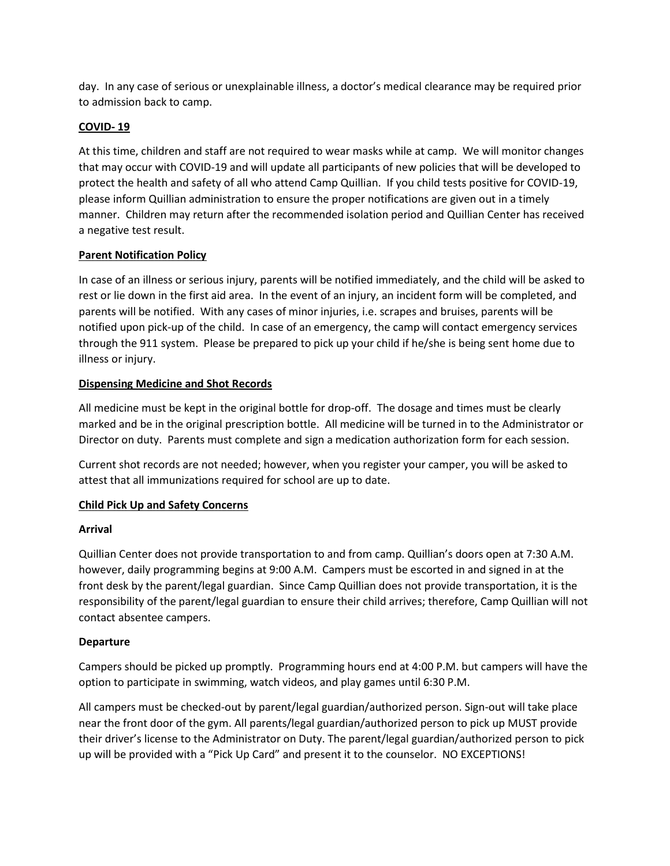day. In any case of serious or unexplainable illness, a doctor's medical clearance may be required prior to admission back to camp.

## **COVID- 19**

At this time, children and staff are not required to wear masks while at camp. We will monitor changes that may occur with COVID-19 and will update all participants of new policies that will be developed to protect the health and safety of all who attend Camp Quillian. If you child tests positive for COVID-19, please inform Quillian administration to ensure the proper notifications are given out in a timely manner. Children may return after the recommended isolation period and Quillian Center has received a negative test result.

## **Parent Notification Policy**

In case of an illness or serious injury, parents will be notified immediately, and the child will be asked to rest or lie down in the first aid area. In the event of an injury, an incident form will be completed, and parents will be notified. With any cases of minor injuries, i.e. scrapes and bruises, parents will be notified upon pick-up of the child. In case of an emergency, the camp will contact emergency services through the 911 system. Please be prepared to pick up your child if he/she is being sent home due to illness or injury.

## **Dispensing Medicine and Shot Records**

All medicine must be kept in the original bottle for drop-off. The dosage and times must be clearly marked and be in the original prescription bottle. All medicine will be turned in to the Administrator or Director on duty. Parents must complete and sign a medication authorization form for each session.

Current shot records are not needed; however, when you register your camper, you will be asked to attest that all immunizations required for school are up to date.

## **Child Pick Up and Safety Concerns**

### **Arrival**

Quillian Center does not provide transportation to and from camp. Quillian's doors open at 7:30 A.M. however, daily programming begins at 9:00 A.M. Campers must be escorted in and signed in at the front desk by the parent/legal guardian. Since Camp Quillian does not provide transportation, it is the responsibility of the parent/legal guardian to ensure their child arrives; therefore, Camp Quillian will not contact absentee campers.

### **Departure**

Campers should be picked up promptly. Programming hours end at 4:00 P.M. but campers will have the option to participate in swimming, watch videos, and play games until 6:30 P.M.

All campers must be checked-out by parent/legal guardian/authorized person. Sign-out will take place near the front door of the gym. All parents/legal guardian/authorized person to pick up MUST provide their driver's license to the Administrator on Duty. The parent/legal guardian/authorized person to pick up will be provided with a "Pick Up Card" and present it to the counselor. NO EXCEPTIONS!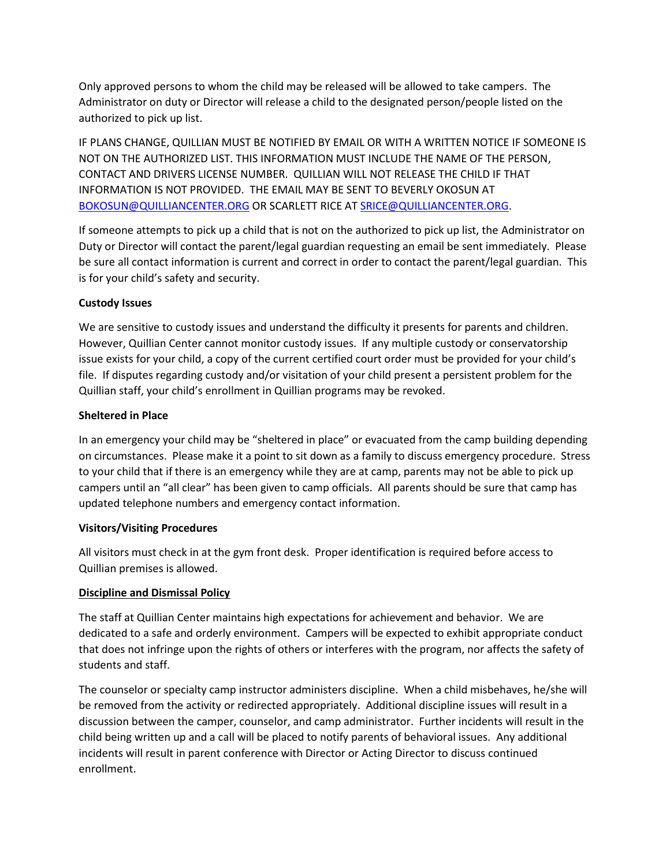Only approved persons to whom the child may be released will be allowed to take campers. The Administrator on duty or Director will release a child to the designated person/people listed on the authorized to pick up list.

IF PLANS CHANGE, QUILLIAN MUST BE NOTIFIED BY EMAIL OR WITH A WRITTEN NOTICE IF SOMEONE IS NOT ON THE AUTHORIZED LIST. THIS INFORMATION MUST INCLUDE THE NAME OF THE PERSON, CONTACT AND DRIVERS LICENSE NUMBER. QUILLIAN WILL NOT RELEASE THE CHILD IF THAT INFORMATION IS NOT PROVIDED. THE EMAIL MAY BE SENT TO BEVERLY OKOSUN AT [BOKOSUN@QUILLIANCENTER.ORG](mailto:BOKOSUN@QUILLIANCENTER.ORG) OR SCARLETT RICE AT [SRICE@QUILLIANCENTER.ORG.](mailto:SRICE@QUILLIANCENTER.ORG)

If someone attempts to pick up a child that is not on the authorized to pick up list, the Administrator on Duty or Director will contact the parent/legal guardian requesting an email be sent immediately. Please be sure all contact information is current and correct in order to contact the parent/legal guardian. This is for your child's safety and security.

### **Custody Issues**

We are sensitive to custody issues and understand the difficulty it presents for parents and children. However, Quillian Center cannot monitor custody issues. If any multiple custody or conservatorship issue exists for your child, a copy of the current certified court order must be provided for your child's file. If disputes regarding custody and/or visitation of your child present a persistent problem for the Quillian staff, your child's enrollment in Quillian programs may be revoked.

## **Sheltered in Place**

In an emergency your child may be "sheltered in place" or evacuated from the camp building depending on circumstances. Please make it a point to sit down as a family to discuss emergency procedure. Stress to your child that if there is an emergency while they are at camp, parents may not be able to pick up campers until an "all clear" has been given to camp officials. All parents should be sure that camp has updated telephone numbers and emergency contact information.

### **Visitors/Visiting Procedures**

All visitors must check in at the gym front desk. Proper identification is required before access to Quillian premises is allowed.

## **Discipline and Dismissal Policy**

The staff at Quillian Center maintains high expectations for achievement and behavior. We are dedicated to a safe and orderly environment. Campers will be expected to exhibit appropriate conduct that does not infringe upon the rights of others or interferes with the program, nor affects the safety of students and staff.

The counselor or specialty camp instructor administers discipline. When a child misbehaves, he/she will be removed from the activity or redirected appropriately. Additional discipline issues will result in a discussion between the camper, counselor, and camp administrator. Further incidents will result in the child being written up and a call will be placed to notify parents of behavioral issues. Any additional incidents will result in parent conference with Director or Acting Director to discuss continued enrollment.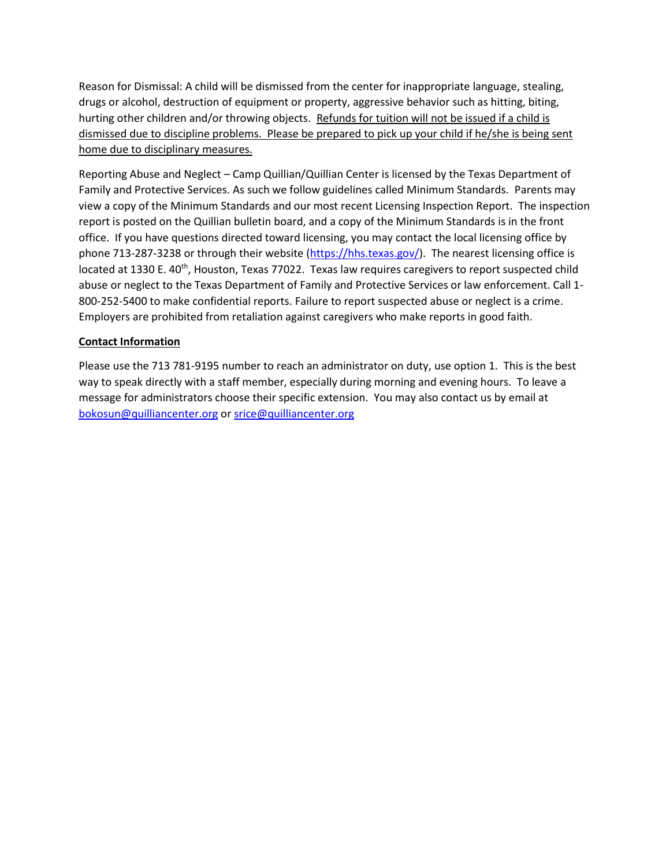Reason for Dismissal: A child will be dismissed from the center for inappropriate language, stealing, drugs or alcohol, destruction of equipment or property, aggressive behavior such as hitting, biting, hurting other children and/or throwing objects. Refunds for tuition will not be issued if a child is dismissed due to discipline problems. Please be prepared to pick up your child if he/she is being sent home due to disciplinary measures.

Reporting Abuse and Neglect – Camp Quillian/Quillian Center is licensed by the Texas Department of Family and Protective Services. As such we follow guidelines called Minimum Standards. Parents may view a copy of the Minimum Standards and our most recent Licensing Inspection Report. The inspection report is posted on the Quillian bulletin board, and a copy of the Minimum Standards is in the front office. If you have questions directed toward licensing, you may contact the local licensing office by phone 713-287-3238 or through their website [\(https://hhs.texas.gov/\)](https://hhs.texas.gov/). The nearest licensing office is located at 1330 E. 40<sup>th</sup>, Houston, Texas 77022. Texas law requires caregivers to report suspected child abuse or neglect to the Texas Department of Family and Protective Services or law enforcement. Call 1- 800-252-5400 to make confidential reports. Failure to report suspected abuse or neglect is a crime. Employers are prohibited from retaliation against caregivers who make reports in good faith.

### **Contact Information**

Please use the 713 781-9195 number to reach an administrator on duty, use option 1. This is the best way to speak directly with a staff member, especially during morning and evening hours. To leave a message for administrators choose their specific extension. You may also contact us by email at [bokosun@quilliancenter.org](mailto:bokosun@quilliancenter.org) or [srice@quilliancenter.org](mailto:srice@quilliancenter.org)